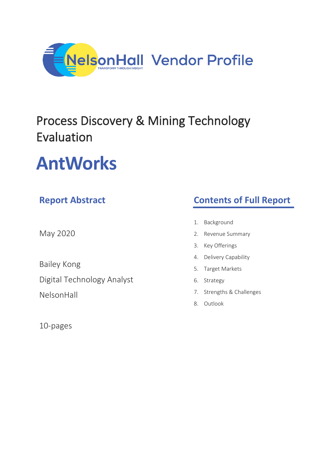

## Process Discovery & Mining Technology Evaluation

# **AntWorks**

### **Report Abstract**

May 2020

Bailey Kong Digital Technology Analyst

NelsonHall

10-pages

### **Contents of Full Report**

- 1. Background
- 2. Revenue Summary
- 3. Key Offerings
- 4. Delivery Capability
- 5. Target Markets
- 6. Strategy
- 7. Strengths & Challenges
- 8. Outlook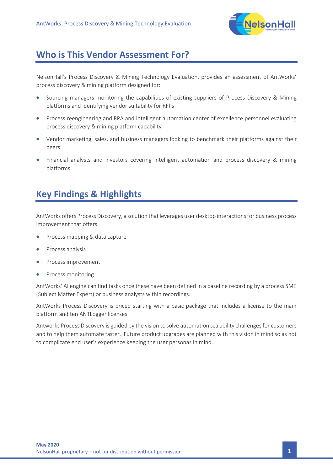

#### **Who is This Vendor Assessment For?**

NelsonHall's Process Discovery & Mining Technology Evaluation, provides an assessment of AntWorks' process discovery & mining platform designed for:

- Sourcing managers monitoring the capabilities of existing suppliers of Process Discovery & Mining platforms and identifying vendor suitability for RFPs
- Process reengineering and RPA and intelligent automation center of excellence personnel evaluating process discovery & mining platform capability
- Vendor marketing, sales, and business managers looking to benchmark their platforms against their peers
- Financial analysts and investors covering intelligent automation and process discovery & mining platforms.

### **Key Findings & Highlights**

AntWorks offers Process Discovery, a solution that leverages user desktop interactions for business process improvement that offers:

- Process mapping & data capture
- Process analysis
- Process improvement
- Process monitoring.

AntWorks' AI engine can find tasks once these have been defined in a baseline recording by a process SME (Subject Matter Expert) or business analysts within recordings.

AntWorks Process Discovery is priced starting with a basic package that includes a license to the main platform and ten ANTLogger licenses.

Antworks Process Discovery is guided by the vision to solve automation scalability challenges for customers and to help them automate faster. Future product upgrades are planned with this vision in mind so as not to complicate end user's experience keeping the user personas in mind.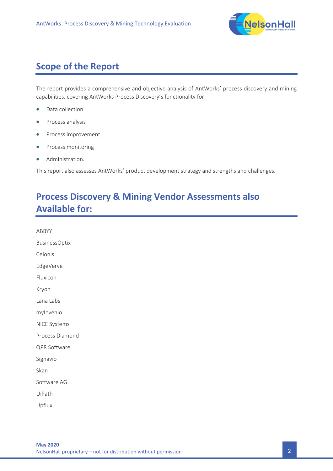

### **Scope of the Report**

The report provides a comprehensive and objective analysis of AntWorks' process discovery and mining capabilities, covering AntWorks Process Discovery's functionality for:

- Data collection
- Process analysis
- Process improvement
- Process monitoring
- Administration.

This report also assesses AntWorks' product development strategy and strengths and challenges.

### **Process Discovery & Mining Vendor Assessments also Available for:**

ABBYY BusinessOptix Celonis EdgeVerve Fluxicon Kryon Lana Labs myInvenio NICE Systems Process Diamond QPR Software Signavio Skan Software AG UiPath Upflux